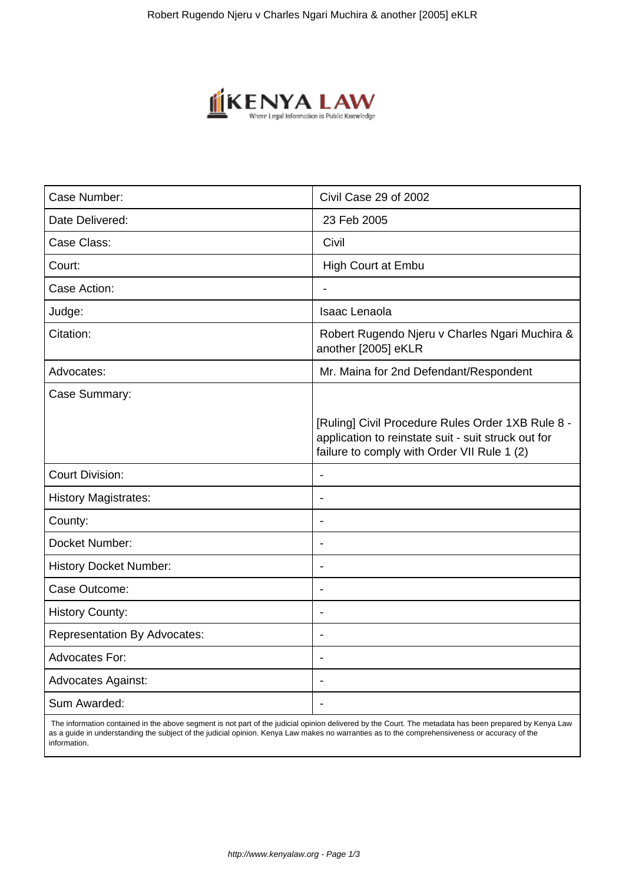

| Case Number:                        | Civil Case 29 of 2002                                                                                                                                   |
|-------------------------------------|---------------------------------------------------------------------------------------------------------------------------------------------------------|
| Date Delivered:                     | 23 Feb 2005                                                                                                                                             |
| Case Class:                         | Civil                                                                                                                                                   |
| Court:                              | High Court at Embu                                                                                                                                      |
| Case Action:                        | $\overline{\phantom{a}}$                                                                                                                                |
| Judge:                              | <b>Isaac Lenaola</b>                                                                                                                                    |
| Citation:                           | Robert Rugendo Njeru v Charles Ngari Muchira &<br>another [2005] eKLR                                                                                   |
| Advocates:                          | Mr. Maina for 2nd Defendant/Respondent                                                                                                                  |
| Case Summary:                       |                                                                                                                                                         |
|                                     | [Ruling] Civil Procedure Rules Order 1XB Rule 8 -<br>application to reinstate suit - suit struck out for<br>failure to comply with Order VII Rule 1 (2) |
| <b>Court Division:</b>              |                                                                                                                                                         |
| <b>History Magistrates:</b>         |                                                                                                                                                         |
| County:                             | $\overline{\phantom{a}}$                                                                                                                                |
| Docket Number:                      | $\blacksquare$                                                                                                                                          |
| <b>History Docket Number:</b>       | $\blacksquare$                                                                                                                                          |
| Case Outcome:                       |                                                                                                                                                         |
| <b>History County:</b>              |                                                                                                                                                         |
| <b>Representation By Advocates:</b> | $\overline{\phantom{a}}$                                                                                                                                |
| Advocates For:                      | $\blacksquare$                                                                                                                                          |
| <b>Advocates Against:</b>           | $\overline{\phantom{0}}$                                                                                                                                |
| Sum Awarded:                        |                                                                                                                                                         |
|                                     |                                                                                                                                                         |

 The information contained in the above segment is not part of the judicial opinion delivered by the Court. The metadata has been prepared by Kenya Law as a guide in understanding the subject of the judicial opinion. Kenya Law makes no warranties as to the comprehensiveness or accuracy of the information.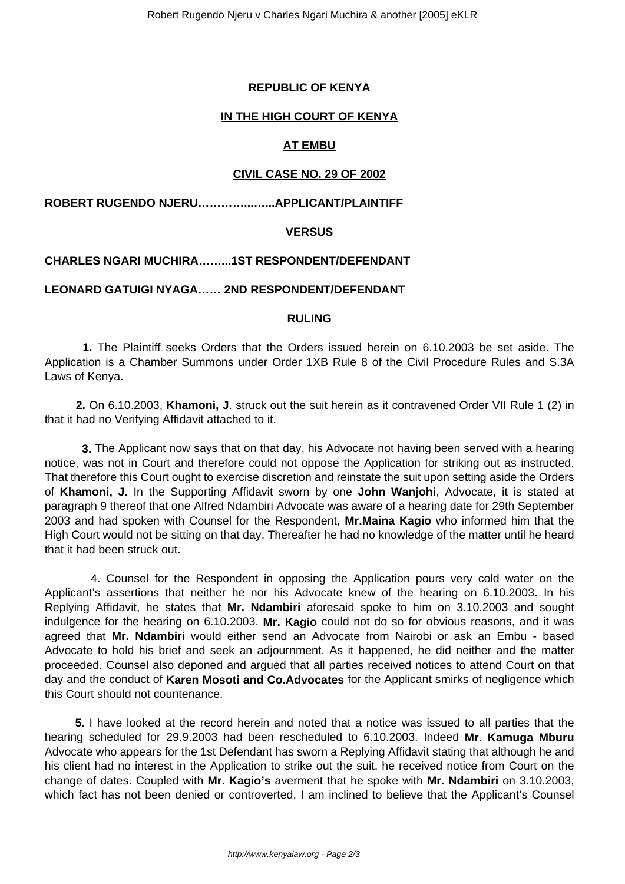## **REPUBLIC OF KENYA**

## **IN THE HIGH COURT OF KENYA**

## **AT EMBU**

### **CIVIL CASE NO. 29 OF 2002**

### **ROBERT RUGENDO NJERU…………...…...APPLICANT/PLAINTIFF**

#### **VERSUS**

# **CHARLES NGARI MUCHIRA……...1ST RESPONDENT/DEFENDANT**

### **LEONARD GATUIGI NYAGA…… 2ND RESPONDENT/DEFENDANT**

#### **RULING**

 **1.** The Plaintiff seeks Orders that the Orders issued herein on 6.10.2003 be set aside. The Application is a Chamber Summons under Order 1XB Rule 8 of the Civil Procedure Rules and S.3A Laws of Kenya.

 **2.** On 6.10.2003, **Khamoni, J**. struck out the suit herein as it contravened Order VII Rule 1 (2) in that it had no Verifying Affidavit attached to it.

 **3.** The Applicant now says that on that day, his Advocate not having been served with a hearing notice, was not in Court and therefore could not oppose the Application for striking out as instructed. That therefore this Court ought to exercise discretion and reinstate the suit upon setting aside the Orders of **Khamoni, J.** In the Supporting Affidavit sworn by one **John Wanjohi**, Advocate, it is stated at paragraph 9 thereof that one Alfred Ndambiri Advocate was aware of a hearing date for 29th September 2003 and had spoken with Counsel for the Respondent, **Mr.Maina Kagio** who informed him that the High Court would not be sitting on that day. Thereafter he had no knowledge of the matter until he heard that it had been struck out.

 4. Counsel for the Respondent in opposing the Application pours very cold water on the Applicant's assertions that neither he nor his Advocate knew of the hearing on 6.10.2003. In his Replying Affidavit, he states that **Mr. Ndambiri** aforesaid spoke to him on 3.10.2003 and sought indulgence for the hearing on 6.10.2003. **Mr. Kagio** could not do so for obvious reasons, and it was agreed that **Mr. Ndambiri** would either send an Advocate from Nairobi or ask an Embu - based Advocate to hold his brief and seek an adjournment. As it happened, he did neither and the matter proceeded. Counsel also deponed and argued that all parties received notices to attend Court on that day and the conduct of **Karen Mosoti and Co.Advocates** for the Applicant smirks of negligence which this Court should not countenance.

 **5.** I have looked at the record herein and noted that a notice was issued to all parties that the hearing scheduled for 29.9.2003 had been rescheduled to 6.10.2003. Indeed **Mr. Kamuga Mburu** Advocate who appears for the 1st Defendant has sworn a Replying Affidavit stating that although he and his client had no interest in the Application to strike out the suit, he received notice from Court on the change of dates. Coupled with **Mr. Kagio's** averment that he spoke with **Mr. Ndambiri** on 3.10.2003, which fact has not been denied or controverted, I am inclined to believe that the Applicant's Counsel